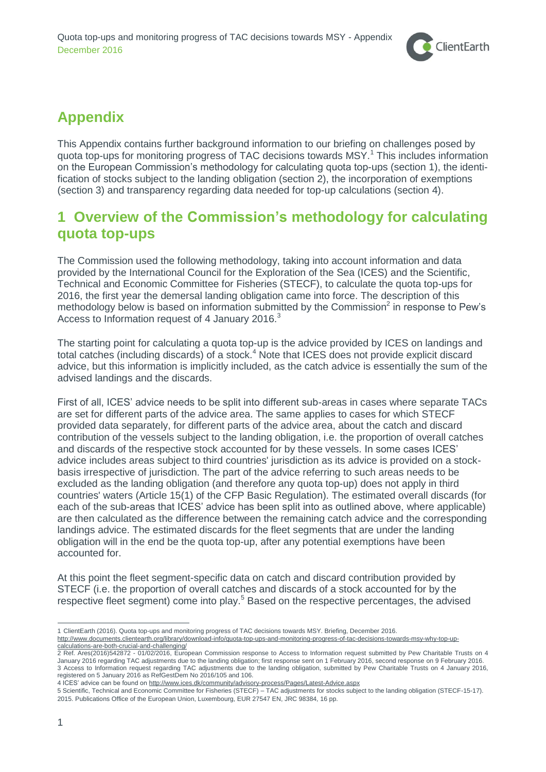

# **Appendix**

This Appendix contains further background information to our briefing on challenges posed by quota top-ups for monitoring progress of TAC decisions towards MSY.<sup>1</sup> This includes information on the European Commission's methodology for calculating quota top-ups (section [1\)](#page-0-0), the identification of stocks subject to the landing obligation (section [2\)](#page-1-0), the incorporation of exemptions (section [3\)](#page-3-0) and transparency regarding data needed for top-up calculations (section [4\)](#page-3-1).

## <span id="page-0-0"></span>**1 Overview of the Commission's methodology for calculating quota top-ups**

The Commission used the following methodology, taking into account information and data provided by the International Council for the Exploration of the Sea (ICES) and the Scientific, Technical and Economic Committee for Fisheries (STECF), to calculate the quota top-ups for 2016, the first year the demersal landing obligation came into force. The description of this methodology below is based on information submitted by the Commission<sup>2</sup> in response to Pew's Access to Information request of 4 January 2016.<sup>3</sup>

The starting point for calculating a quota top-up is the advice provided by ICES on landings and total catches (including discards) of a stock.<sup>4</sup> Note that ICES does not provide explicit discard advice, but this information is implicitly included, as the catch advice is essentially the sum of the advised landings and the discards.

First of all, ICES' advice needs to be split into different sub-areas in cases where separate TACs are set for different parts of the advice area. The same applies to cases for which STECF provided data separately, for different parts of the advice area, about the catch and discard contribution of the vessels subject to the landing obligation, i.e. the proportion of overall catches and discards of the respective stock accounted for by these vessels. In some cases ICES' advice includes areas subject to third countries' jurisdiction as its advice is provided on a stockbasis irrespective of jurisdiction. The part of the advice referring to such areas needs to be excluded as the landing obligation (and therefore any quota top-up) does not apply in third countries' waters (Article 15(1) of the CFP Basic Regulation). The estimated overall discards (for each of the sub-areas that ICES' advice has been split into as outlined above, where applicable) are then calculated as the difference between the remaining catch advice and the corresponding landings advice. The estimated discards for the fleet segments that are under the landing obligation will in the end be the quota top-up, after any potential exemptions have been accounted for.

At this point the fleet segment-specific data on catch and discard contribution provided by STECF (i.e. the proportion of overall catches and discards of a stock accounted for by the respective fleet segment) come into play.<sup>5</sup> Based on the respective percentages, the advised

[http://www.documents.clientearth.org/library/download-info/quota-top-ups-and-monitoring-progress-of-tac-decisions-towards-msy-why-top-up](http://www.documents.clientearth.org/library/download-info/quota-top-ups-and-monitoring-progress-of-tac-decisions-towards-msy-why-top-up-calculations-are-both-crucial-and-challenging/)[calculations-are-both-crucial-and-challenging/](http://www.documents.clientearth.org/library/download-info/quota-top-ups-and-monitoring-progress-of-tac-decisions-towards-msy-why-top-up-calculations-are-both-crucial-and-challenging/)

 $\overline{a}$ 1 ClientEarth (2016). Quota top-ups and monitoring progress of TAC decisions towards MSY. Briefing, December 2016.

<sup>2</sup> Ref. Ares(2016)542872 - 01/02/2016, European Commission response to Access to Information request submitted by Pew Charitable Trusts on 4 January 2016 regarding TAC adjustments due to the landing obligation; first response sent on 1 February 2016, second response on 9 February 2016. 3 Access to Information request regarding TAC adjustments due to the landing obligation, submitted by Pew Charitable Trusts on 4 January 2016, registered on 5 January 2016 as RefGestDem No 2016/105 and 106.

<sup>4</sup> ICES' advice can be found on <http://www.ices.dk/community/advisory-process/Pages/Latest-Advice.aspx>

<sup>5</sup> Scientific, Technical and Economic Committee for Fisheries (STECF) – TAC adjustments for stocks subject to the landing obligation (STECF-15-17). 2015. Publications Office of the European Union, Luxembourg, EUR 27547 EN, JRC 98384, 16 pp.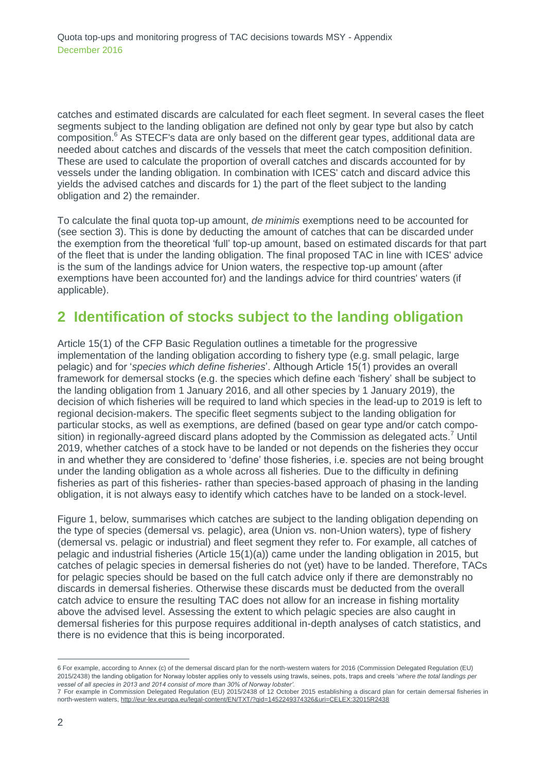catches and estimated discards are calculated for each fleet segment. In several cases the fleet segments subject to the landing obligation are defined not only by gear type but also by catch composition.<sup>6</sup> As STECF's data are only based on the different gear types, additional data are needed about catches and discards of the vessels that meet the catch composition definition. These are used to calculate the proportion of overall catches and discards accounted for by vessels under the landing obligation. In combination with ICES' catch and discard advice this yields the advised catches and discards for 1) the part of the fleet subject to the landing obligation and 2) the remainder.

To calculate the final quota top-up amount, *de minimis* exemptions need to be accounted for (see section [3\)](#page-3-0). This is done by deducting the amount of catches that can be discarded under the exemption from the theoretical 'full' top-up amount, based on estimated discards for that part of the fleet that is under the landing obligation. The final proposed TAC in line with ICES' advice is the sum of the landings advice for Union waters, the respective top-up amount (after exemptions have been accounted for) and the landings advice for third countries' waters (if applicable).

### <span id="page-1-0"></span>**2 Identification of stocks subject to the landing obligation**

Article 15(1) of the CFP Basic Regulation outlines a timetable for the progressive implementation of the landing obligation according to fishery type (e.g. small pelagic, large pelagic) and for '*species which define fisheries*'. Although Article 15(1) provides an overall framework for demersal stocks (e.g. the species which define each 'fishery' shall be subject to the landing obligation from 1 January 2016, and all other species by 1 January 2019), the decision of which fisheries will be required to land which species in the lead-up to 2019 is left to regional decision-makers. The specific fleet segments subject to the landing obligation for particular stocks, as well as exemptions, are defined (based on gear type and/or catch composition) in regionally-agreed discard plans adopted by the Commission as delegated acts.<sup>7</sup> Until 2019, whether catches of a stock have to be landed or not depends on the fisheries they occur in and whether they are considered to 'define' those fisheries, i.e. species are not being brought under the landing obligation as a whole across all fisheries. Due to the difficulty in defining fisheries as part of this fisheries- rather than species-based approach of phasing in the landing obligation, it is not always easy to identify which catches have to be landed on a stock-level.

Figure 1, below, summarises which catches are subject to the landing obligation depending on the type of species (demersal vs. pelagic), area (Union vs. non-Union waters), type of fishery (demersal vs. pelagic or industrial) and fleet segment they refer to. For example, all catches of pelagic and industrial fisheries (Article 15(1)(a)) came under the landing obligation in 2015, but catches of pelagic species in demersal fisheries do not (yet) have to be landed. Therefore, TACs for pelagic species should be based on the full catch advice only if there are demonstrably no discards in demersal fisheries. Otherwise these discards must be deducted from the overall catch advice to ensure the resulting TAC does not allow for an increase in fishing mortality above the advised level. Assessing the extent to which pelagic species are also caught in demersal fisheries for this purpose requires additional in-depth analyses of catch statistics, and there is no evidence that this is being incorporated.

 $\overline{a}$ 6 For example, according to Annex (c) of the demersal discard plan for the north-western waters for 2016 (Commission Delegated Regulation (EU) 2015/2438) the landing obligation for Norway lobster applies only to vessels using trawls, seines, pots, traps and creels '*where the total landings per vessel of all species in 2013 and 2014 consist of more than 30% of Norway lobster'.*

<sup>7</sup> For example in Commission Delegated Regulation (EU) 2015/2438 of 12 October 2015 establishing a discard plan for certain demersal fisheries in north-western waters, <http://eur-lex.europa.eu/legal-content/EN/TXT/?qid=1452249374326&uri=CELEX:32015R2438>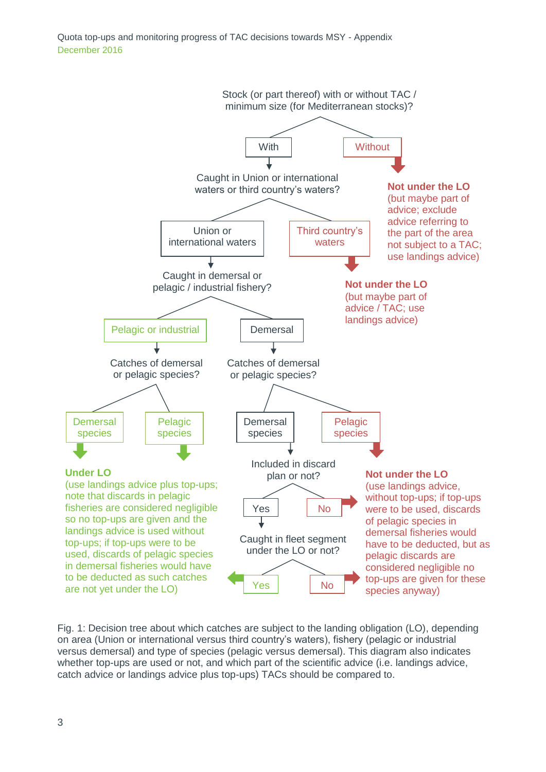Quota top-ups and monitoring progress of TAC decisions towards MSY - Appendix December 2016



Fig. 1: Decision tree about which catches are subject to the landing obligation (LO), depending on area (Union or international versus third country's waters), fishery (pelagic or industrial versus demersal) and type of species (pelagic versus demersal). This diagram also indicates whether top-ups are used or not, and which part of the scientific advice (i.e. landings advice, catch advice or landings advice plus top-ups) TACs should be compared to.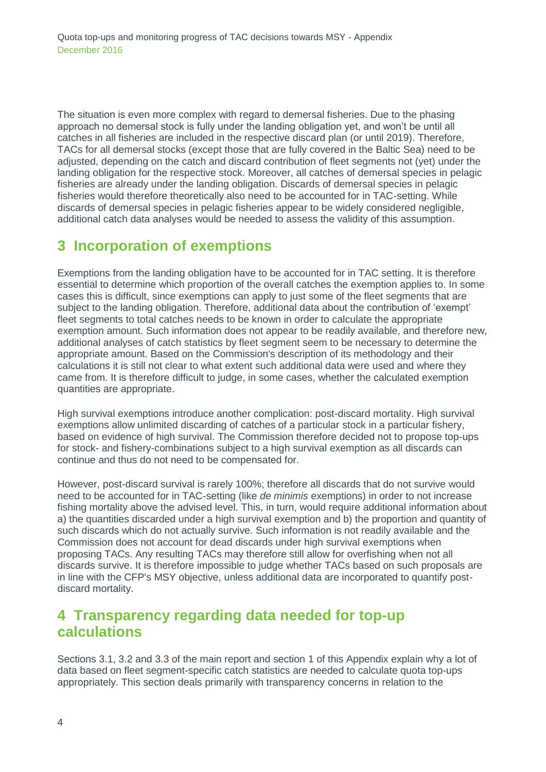The situation is even more complex with regard to demersal fisheries. Due to the phasing approach no demersal stock is fully under the landing obligation yet, and won't be until all catches in all fisheries are included in the respective discard plan (or until 2019). Therefore, TACs for all demersal stocks (except those that are fully covered in the Baltic Sea) need to be adjusted, depending on the catch and discard contribution of fleet segments not (yet) under the landing obligation for the respective stock. Moreover, all catches of demersal species in pelagic fisheries are already under the landing obligation. Discards of demersal species in pelagic fisheries would therefore theoretically also need to be accounted for in TAC-setting. While discards of demersal species in pelagic fisheries appear to be widely considered negligible, additional catch data analyses would be needed to assess the validity of this assumption.

### <span id="page-3-0"></span>**3 Incorporation of exemptions**

Exemptions from the landing obligation have to be accounted for in TAC setting. It is therefore essential to determine which proportion of the overall catches the exemption applies to. In some cases this is difficult, since exemptions can apply to just some of the fleet segments that are subject to the landing obligation. Therefore, additional data about the contribution of 'exempt' fleet segments to total catches needs to be known in order to calculate the appropriate exemption amount. Such information does not appear to be readily available, and therefore new, additional analyses of catch statistics by fleet segment seem to be necessary to determine the appropriate amount. Based on the Commission's description of its methodology and their calculations it is still not clear to what extent such additional data were used and where they came from. It is therefore difficult to judge, in some cases, whether the calculated exemption quantities are appropriate.

High survival exemptions introduce another complication: post-discard mortality. High survival exemptions allow unlimited discarding of catches of a particular stock in a particular fishery, based on evidence of high survival. The Commission therefore decided not to propose top-ups for stock- and fishery-combinations subject to a high survival exemption as all discards can continue and thus do not need to be compensated for.

However, post-discard survival is rarely 100%; therefore all discards that do not survive would need to be accounted for in TAC-setting (like *de minimis* exemptions) in order to not increase fishing mortality above the advised level. This, in turn, would require additional information about a) the quantities discarded under a high survival exemption and b) the proportion and quantity of such discards which do not actually survive. Such information is not readily available and the Commission does not account for dead discards under high survival exemptions when proposing TACs. Any resulting TACs may therefore still allow for overfishing when not all discards survive. It is therefore impossible to judge whether TACs based on such proposals are in line with the CFP's MSY objective, unless additional data are incorporated to quantify postdiscard mortality.

#### <span id="page-3-1"></span>**4 Transparency regarding data needed for top-up calculations**

Sections 3.1, 3.2 and 3.3 of the main report and section [1](#page-0-0) of this Appendix explain why a lot of data based on fleet segment-specific catch statistics are needed to calculate quota top-ups appropriately. This section deals primarily with transparency concerns in relation to the